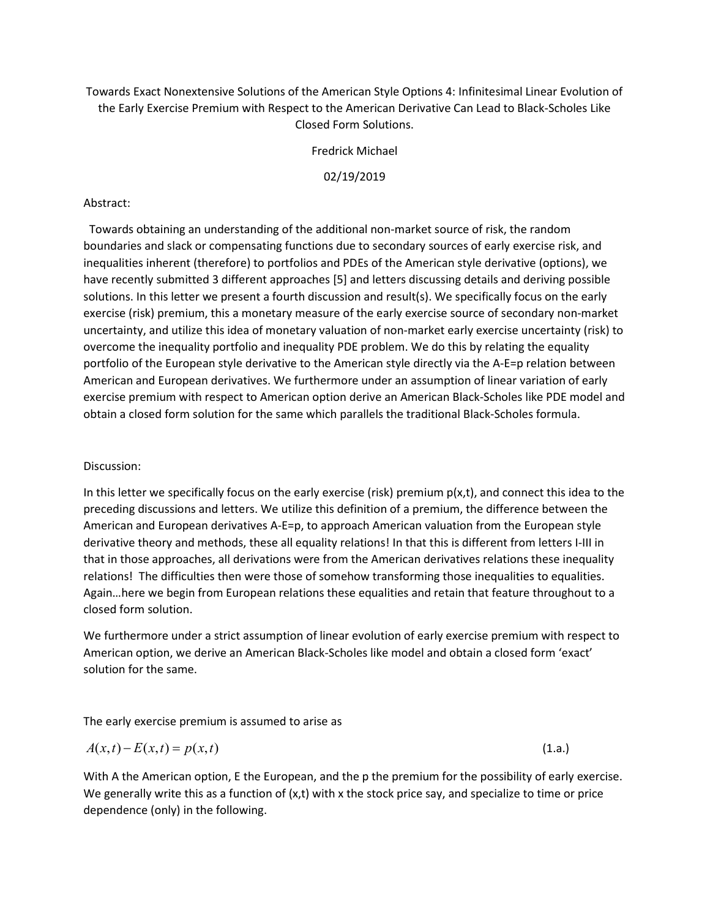Towards Exact Nonextensive Solutions of the American Style Options 4: Infinitesimal Linear Evolution of the Early Exercise Premium with Respect to the American Derivative Can Lead to Black-Scholes Like Closed Form Solutions.

Fredrick Michael

02/19/2019

## Abstract:

 Towards obtaining an understanding of the additional non-market source of risk, the random boundaries and slack or compensating functions due to secondary sources of early exercise risk, and inequalities inherent (therefore) to portfolios and PDEs of the American style derivative (options), we have recently submitted 3 different approaches [5] and letters discussing details and deriving possible solutions. In this letter we present a fourth discussion and result(s). We specifically focus on the early exercise (risk) premium, this a monetary measure of the early exercise source of secondary non-market uncertainty, and utilize this idea of monetary valuation of non-market early exercise uncertainty (risk) to overcome the inequality portfolio and inequality PDE problem. We do this by relating the equality portfolio of the European style derivative to the American style directly via the A-E=p relation between American and European derivatives. We furthermore under an assumption of linear variation of early exercise premium with respect to American option derive an American Black-Scholes like PDE model and obtain a closed form solution for the same which parallels the traditional Black-Scholes formula.

## Discussion:

In this letter we specifically focus on the early exercise (risk) premium  $p(x,t)$ , and connect this idea to the preceding discussions and letters. We utilize this definition of a premium, the difference between the American and European derivatives A-E=p, to approach American valuation from the European style derivative theory and methods, these all equality relations! In that this is different from letters I-III in that in those approaches, all derivations were from the American derivatives relations these inequality relations! The difficulties then were those of somehow transforming those inequalities to equalities. Again…here we begin from European relations these equalities and retain that feature throughout to a closed form solution.

We furthermore under a strict assumption of linear evolution of early exercise premium with respect to American option, we derive an American Black-Scholes like model and obtain a closed form 'exact' solution for the same.

The early exercise premium is assumed to arise as

$$
A(x,t) - E(x,t) = p(x,t)
$$
\n(1.a.)

With A the American option, E the European, and the p the premium for the possibility of early exercise. We generally write this as a function of  $(x,t)$  with x the stock price say, and specialize to time or price dependence (only) in the following.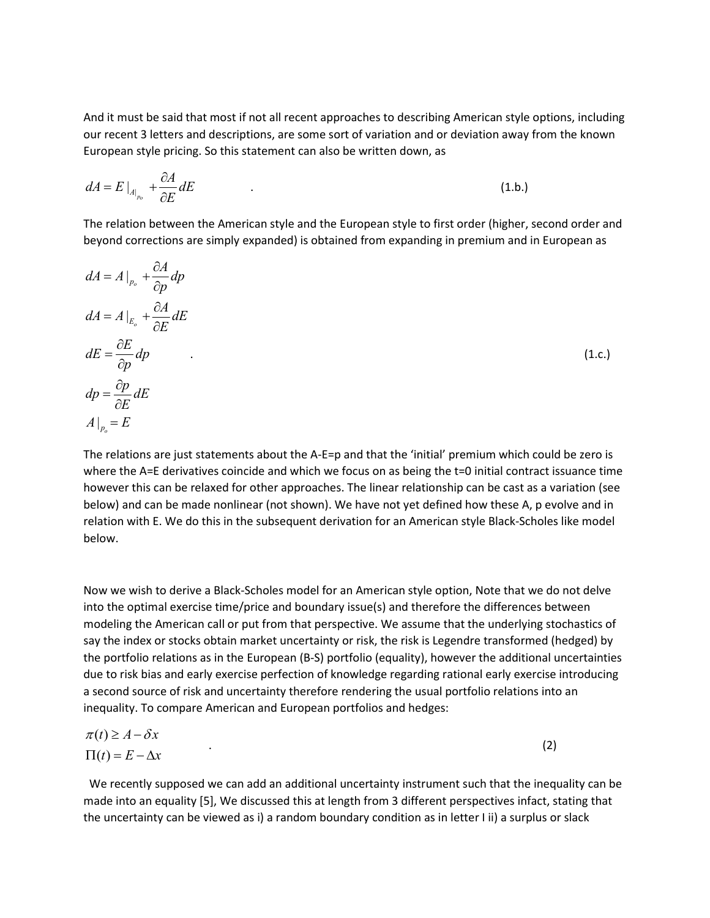And it must be said that most if not all recent approaches to describing American style options, including our recent 3 letters and descriptions, are some sort of variation and or deviation away from the known European style pricing. So this statement can also be written down, as

$$
dA = E \big|_{A|_{p_o}} + \frac{\partial A}{\partial E} dE \tag{1.b.}
$$

The relation between the American style and the European style to first order (higher, second order and beyond corrections are simply expanded) is obtained from expanding in premium and in European as

$$
dA = A\big|_{p_o} + \frac{\partial A}{\partial p} dp
$$
  
\n
$$
dA = A\big|_{E_o} + \frac{\partial A}{\partial E} dE
$$
  
\n
$$
dE = \frac{\partial E}{\partial p} dp
$$
  
\n
$$
dp = \frac{\partial p}{\partial E} dE
$$
  
\n
$$
A\big|_{p_o} = E
$$
\n(1. c.)

The relations are just statements about the A-E=p and that the 'initial' premium which could be zero is where the A=E derivatives coincide and which we focus on as being the t=0 initial contract issuance time however this can be relaxed for other approaches. The linear relationship can be cast as a variation (see below) and can be made nonlinear (not shown). We have not yet defined how these A, p evolve and in relation with E. We do this in the subsequent derivation for an American style Black-Scholes like model below.

Now we wish to derive a Black-Scholes model for an American style option, Note that we do not delve into the optimal exercise time/price and boundary issue(s) and therefore the differences between modeling the American call or put from that perspective. We assume that the underlying stochastics of say the index or stocks obtain market uncertainty or risk, the risk is Legendre transformed (hedged) by the portfolio relations as in the European (B-S) portfolio (equality), however the additional uncertainties due to risk bias and early exercise perfection of knowledge regarding rational early exercise introducing a second source of risk and uncertainty therefore rendering the usual portfolio relations into an inequality. To compare American and European portfolios and hedges:

$$
\pi(t) \ge A - \delta x
$$
  
\n
$$
\Pi(t) = E - \Delta x
$$
\n(2)

 We recently supposed we can add an additional uncertainty instrument such that the inequality can be made into an equality [5], We discussed this at length from 3 different perspectives infact, stating that the uncertainty can be viewed as i) a random boundary condition as in letter I ii) a surplus or slack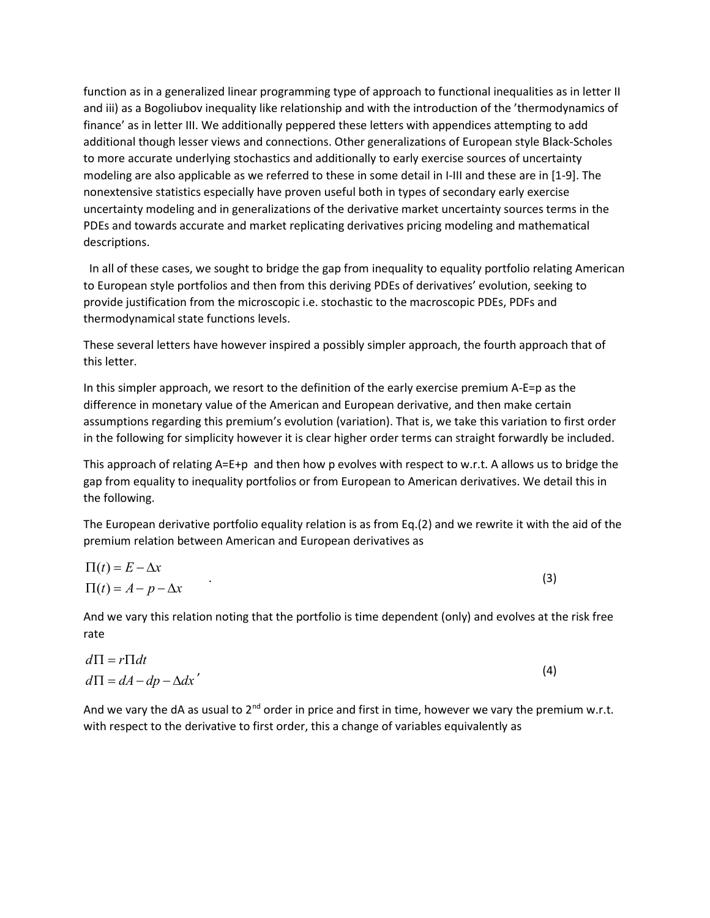function as in a generalized linear programming type of approach to functional inequalities as in letter II and iii) as a Bogoliubov inequality like relationship and with the introduction of the 'thermodynamics of finance' as in letter III. We additionally peppered these letters with appendices attempting to add additional though lesser views and connections. Other generalizations of European style Black-Scholes to more accurate underlying stochastics and additionally to early exercise sources of uncertainty modeling are also applicable as we referred to these in some detail in I-III and these are in [1-9]. The nonextensive statistics especially have proven useful both in types of secondary early exercise uncertainty modeling and in generalizations of the derivative market uncertainty sources terms in the PDEs and towards accurate and market replicating derivatives pricing modeling and mathematical descriptions.

 In all of these cases, we sought to bridge the gap from inequality to equality portfolio relating American to European style portfolios and then from this deriving PDEs of derivatives' evolution, seeking to provide justification from the microscopic i.e. stochastic to the macroscopic PDEs, PDFs and thermodynamical state functions levels.

These several letters have however inspired a possibly simpler approach, the fourth approach that of this letter.

In this simpler approach, we resort to the definition of the early exercise premium A-E=p as the difference in monetary value of the American and European derivative, and then make certain assumptions regarding this premium's evolution (variation). That is, we take this variation to first order in the following for simplicity however it is clear higher order terms can straight forwardly be included.

This approach of relating A=E+p and then how p evolves with respect to w.r.t. A allows us to bridge the gap from equality to inequality portfolios or from European to American derivatives. We detail this in the following.

The European derivative portfolio equality relation is as from Eq.(2) and we rewrite it with the aid of the premium relation between American and European derivatives as

$$
\Pi(t) = E - \Delta x
$$
  
\n
$$
\Pi(t) = A - p - \Delta x
$$
\n(3)

And we vary this relation noting that the portfolio is time dependent (only) and evolves at the risk free rate

$$
d\Pi = r\Pi dt
$$
  
\n
$$
d\Pi = dA - dp - \Delta dx'
$$
\n(4)

And we vary the dA as usual to  $2^{nd}$  order in price and first in time, however we vary the premium w.r.t. with respect to the derivative to first order, this a change of variables equivalently as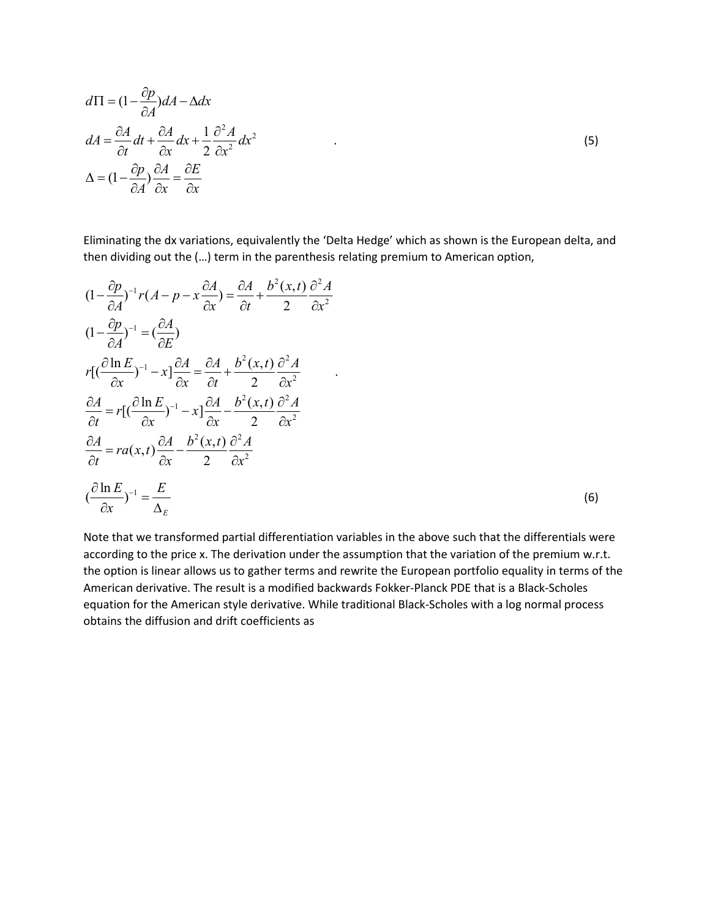$$
d\Pi = (1 - \frac{\partial p}{\partial A})dA - \Delta dx
$$
  
\n
$$
dA = \frac{\partial A}{\partial t}dt + \frac{\partial A}{\partial x}dx + \frac{1}{2}\frac{\partial^2 A}{\partial x^2}dx^2
$$
  
\n
$$
\Delta = (1 - \frac{\partial p}{\partial A})\frac{\partial A}{\partial x} = \frac{\partial E}{\partial x}
$$
\n(5)

Eliminating the dx variations, equivalently the 'Delta Hedge' which as shown is the European delta, and then dividing out the (…) term in the parenthesis relating premium to American option,

$$
(1 - \frac{\partial p}{\partial A})^{-1} r(A - p - x \frac{\partial A}{\partial x}) = \frac{\partial A}{\partial t} + \frac{b^2(x, t)}{2} \frac{\partial^2 A}{\partial x^2}
$$
  
\n
$$
(1 - \frac{\partial p}{\partial A})^{-1} = (\frac{\partial A}{\partial E})
$$
  
\n
$$
r[(\frac{\partial \ln E}{\partial x})^{-1} - x] \frac{\partial A}{\partial x} = \frac{\partial A}{\partial t} + \frac{b^2(x, t)}{2} \frac{\partial^2 A}{\partial x^2}
$$
  
\n
$$
\frac{\partial A}{\partial t} = r[(\frac{\partial \ln E}{\partial x})^{-1} - x] \frac{\partial A}{\partial x} - \frac{b^2(x, t)}{2} \frac{\partial^2 A}{\partial x^2}
$$
  
\n
$$
\frac{\partial A}{\partial t} = ra(x, t) \frac{\partial A}{\partial x} - \frac{b^2(x, t)}{2} \frac{\partial^2 A}{\partial x^2}
$$
  
\n
$$
(\frac{\partial \ln E}{\partial x})^{-1} = \frac{E}{\Delta_E}
$$
  
\n(6)

Note that we transformed partial differentiation variables in the above such that the differentials were according to the price x. The derivation under the assumption that the variation of the premium w.r.t. the option is linear allows us to gather terms and rewrite the European portfolio equality in terms of the American derivative. The result is a modified backwards Fokker-Planck PDE that is a Black-Scholes equation for the American style derivative. While traditional Black-Scholes with a log normal process obtains the diffusion and drift coefficients as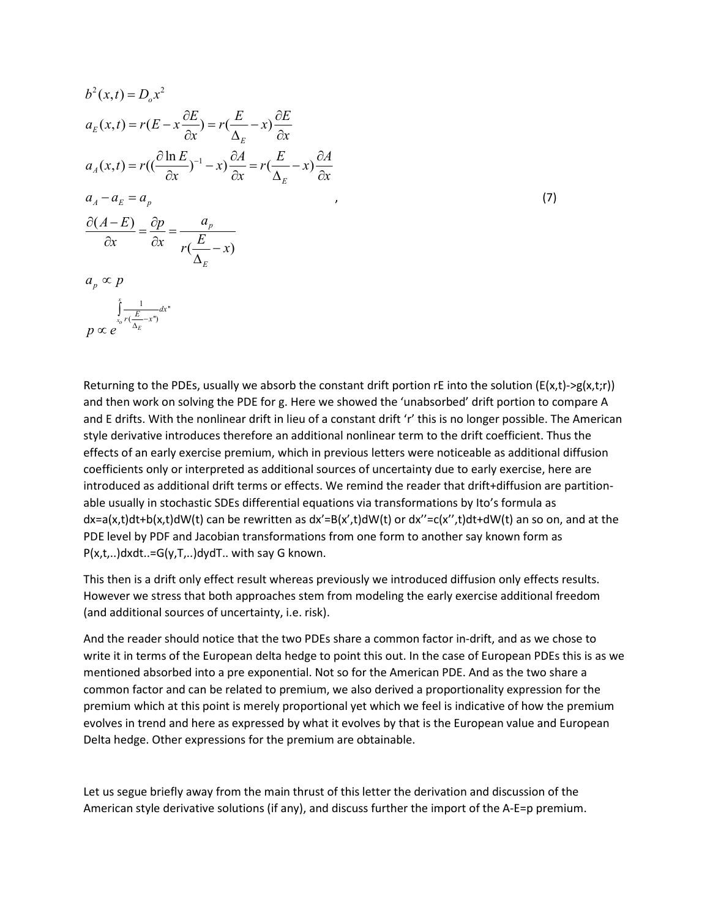| $b^{2}(x,t) = D_{0}x^{2}$                                                                                                                                |     |
|----------------------------------------------------------------------------------------------------------------------------------------------------------|-----|
| $a_{E}(x,t)=r(E-x\frac{\partial E}{\partial x})=r(\frac{E}{\Delta_{E}}-x)\frac{\partial E}{\partial x}$                                                  |     |
| $a_{A}(x,t) = r((\frac{\partial \ln E}{\partial x})^{-1} - x) \frac{\partial A}{\partial x} = r(\frac{E}{\Delta_{F}} - x) \frac{\partial A}{\partial x}$ |     |
| $a_{A} - a_{E} = a_{p}$                                                                                                                                  | (7) |
| $rac{\partial (A-E)}{\partial x} = \frac{\partial p}{\partial x} = \frac{a_p}{r(\frac{E}{\Delta_E} - x)}$                                                |     |
| $a_n \propto p$                                                                                                                                          |     |
| $\int\limits_{x_0} \frac{1}{r(\frac{E}{\Delta_E}-x^*)}dx^*$<br>$p \propto e^{\int\limits_{0}^{x_0} t(\frac{E}{\Delta_E}-x^*)}$                           |     |

Returning to the PDEs, usually we absorb the constant drift portion rE into the solution ( $E(x,t)$ ->g(x,t;r)) and then work on solving the PDE for g. Here we showed the 'unabsorbed' drift portion to compare A and E drifts. With the nonlinear drift in lieu of a constant drift 'r' this is no longer possible. The American style derivative introduces therefore an additional nonlinear term to the drift coefficient. Thus the effects of an early exercise premium, which in previous letters were noticeable as additional diffusion coefficients only or interpreted as additional sources of uncertainty due to early exercise, here are introduced as additional drift terms or effects. We remind the reader that drift+diffusion are partitionable usually in stochastic SDEs differential equations via transformations by Ito's formula as  $dx=a(x,t)dt+b(x,t)dW(t)$  can be rewritten as  $dx'=B(x',t)dW(t)$  or  $dx''=c(x'',t)dt+dW(t)$  an so on, and at the PDE level by PDF and Jacobian transformations from one form to another say known form as  $P(x,t,..)dxdt. = G(y,T,..)dydT.$  with say G known.

This then is a drift only effect result whereas previously we introduced diffusion only effects results. However we stress that both approaches stem from modeling the early exercise additional freedom (and additional sources of uncertainty, i.e. risk).

And the reader should notice that the two PDEs share a common factor in-drift, and as we chose to write it in terms of the European delta hedge to point this out. In the case of European PDEs this is as we mentioned absorbed into a pre exponential. Not so for the American PDE. And as the two share a common factor and can be related to premium, we also derived a proportionality expression for the premium which at this point is merely proportional yet which we feel is indicative of how the premium evolves in trend and here as expressed by what it evolves by that is the European value and European Delta hedge. Other expressions for the premium are obtainable.

Let us segue briefly away from the main thrust of this letter the derivation and discussion of the American style derivative solutions (if any), and discuss further the import of the A-E=p premium.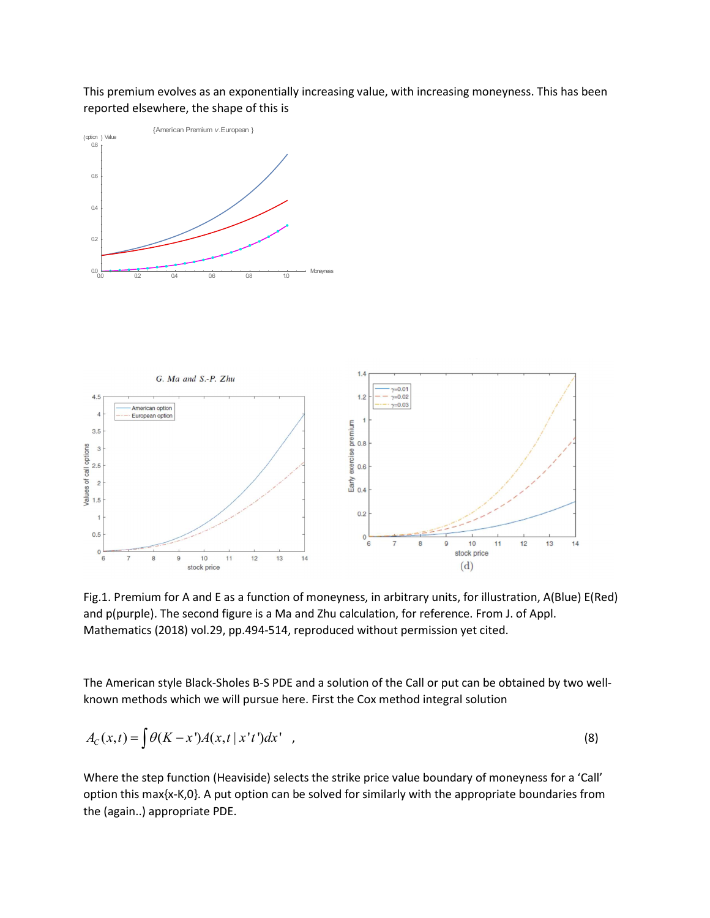This premium evolves as an exponentially increasing value, with increasing moneyness. This has been reported elsewhere, the shape of this is



Fig.1. Premium for A and E as a function of moneyness, in arbitrary units, for illustration, A(Blue) E(Red) and p(purple). The second figure is a Ma and Zhu calculation, for reference. From J. of Appl. Mathematics (2018) vol.29, pp.494-514, reproduced without permission yet cited.

The American style Black-Sholes B-S PDE and a solution of the Call or put can be obtained by two wellknown methods which we will pursue here. First the Cox method integral solution

$$
A_C(x,t) = \int \theta(K-x')A(x,t|x't')dx' \quad , \tag{8}
$$

Where the step function (Heaviside) selects the strike price value boundary of moneyness for a 'Call' option this max{x-K,0}. A put option can be solved for similarly with the appropriate boundaries from the (again..) appropriate PDE.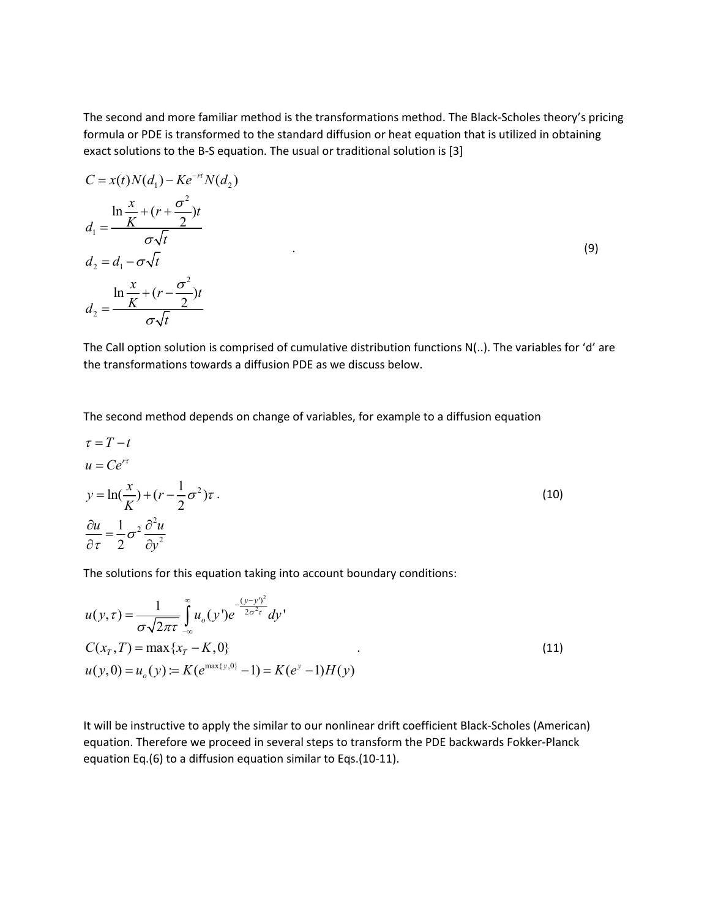The second and more familiar method is the transformations method. The Black-Scholes theory's pricing formula or PDE is transformed to the standard diffusion or heat equation that is utilized in obtaining exact solutions to the B-S equation. The usual or traditional solution is [3]

$$
C = x(t)N(d_1) - Ke^{-rt}N(d_2)
$$
  
\n
$$
d_1 = \frac{\ln \frac{x}{K} + (r + \frac{\sigma^2}{2})t}{\sigma \sqrt{t}}
$$
  
\n
$$
d_2 = d_1 - \sigma \sqrt{t}
$$
  
\n
$$
d_2 = \frac{\ln \frac{x}{K} + (r - \frac{\sigma^2}{2})t}{\sigma \sqrt{t}}
$$
\n(9)

The Call option solution is comprised of cumulative distribution functions N(..). The variables for 'd' are the transformations towards a diffusion PDE as we discuss below.

The second method depends on change of variables, for example to a diffusion equation

$$
\tau = T - t
$$
  
\n
$$
u = Ce^{r\tau}
$$
  
\n
$$
y = \ln(\frac{x}{K}) + (r - \frac{1}{2}\sigma^2)\tau.
$$
  
\n
$$
\frac{\partial u}{\partial \tau} = \frac{1}{2}\sigma^2 \frac{\partial^2 u}{\partial y^2}
$$
\n(10)

The solutions for this equation taking into account boundary conditions:

$$
u(y,\tau) = \frac{1}{\sigma\sqrt{2\pi\tau}} \int_{-\infty}^{\infty} u_o(y') e^{-\frac{(y-y)^2}{2\sigma^2\tau}} dy'
$$
  
\n
$$
C(x_T, T) = \max\{x_T - K, 0\}
$$
  
\n
$$
u(y, 0) = u_o(y) := K(e^{\max\{y, 0\}} - 1) = K(e^y - 1)H(y)
$$
\n(11)

It will be instructive to apply the similar to our nonlinear drift coefficient Black-Scholes (American) equation. Therefore we proceed in several steps to transform the PDE backwards Fokker-Planck equation Eq.(6) to a diffusion equation similar to Eqs.(10-11).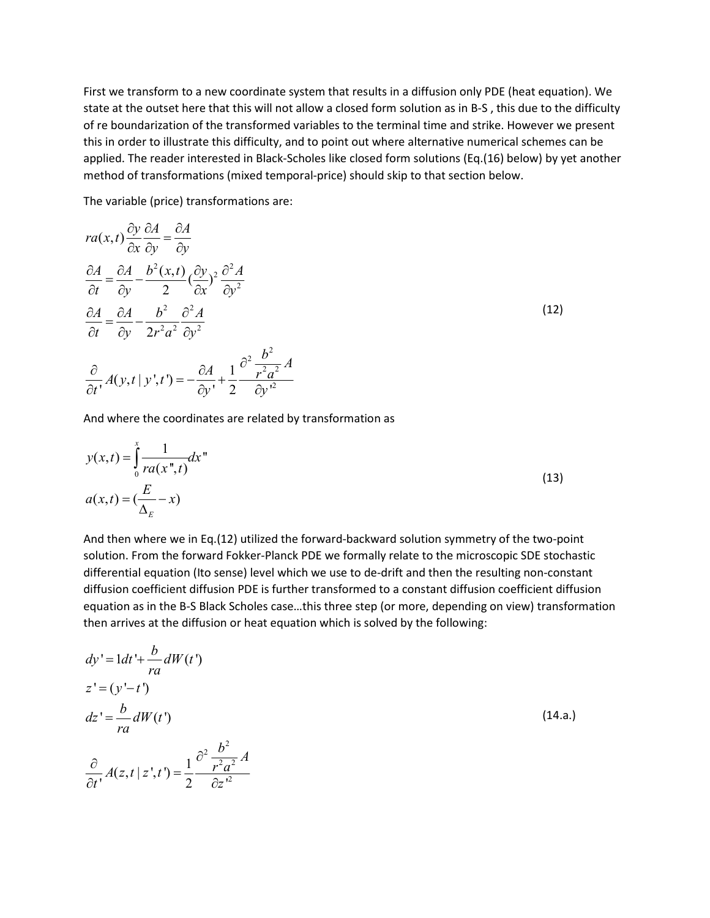First we transform to a new coordinate system that results in a diffusion only PDE (heat equation). We state at the outset here that this will not allow a closed form solution as in B-S , this due to the difficulty of re boundarization of the transformed variables to the terminal time and strike. However we present this in order to illustrate this difficulty, and to point out where alternative numerical schemes can be applied. The reader interested in Black-Scholes like closed form solutions (Eq.(16) below) by yet another method of transformations (mixed temporal-price) should skip to that section below.

The variable (price) transformations are:

$$
ra(x,t)\frac{\partial y}{\partial x}\frac{\partial A}{\partial y} = \frac{\partial A}{\partial y}
$$
  
\n
$$
\frac{\partial A}{\partial t} = \frac{\partial A}{\partial y} - \frac{b^2(x,t)}{2}(\frac{\partial y}{\partial x})^2 \frac{\partial^2 A}{\partial y^2}
$$
  
\n
$$
\frac{\partial A}{\partial t} = \frac{\partial A}{\partial y} - \frac{b^2}{2r^2 a^2} \frac{\partial^2 A}{\partial y^2}
$$
  
\n
$$
\frac{\partial}{\partial t}A(y,t|y',t') = -\frac{\partial A}{\partial y'} + \frac{1}{2} \frac{\partial^2 \frac{b^2}{r^2 a^2} A}{\partial y'^2}
$$
\n(12)

And where the coordinates are related by transformation as

$$
y(x,t) = \int_0^x \frac{1}{ra(x'',t)} dx''
$$
  
\n
$$
a(x,t) = \left(\frac{E}{\Delta_E} - x\right)
$$
\n(13)

And then where we in Eq.(12) utilized the forward-backward solution symmetry of the two-point solution. From the forward Fokker-Planck PDE we formally relate to the microscopic SDE stochastic differential equation (Ito sense) level which we use to de-drift and then the resulting non-constant diffusion coefficient diffusion PDE is further transformed to a constant diffusion coefficient diffusion equation as in the B-S Black Scholes case…this three step (or more, depending on view) transformation then arrives at the diffusion or heat equation which is solved by the following:

$$
dy' = 1dt' + \frac{b}{ra}dW(t')
$$
  
\n
$$
z' = (y'-t')
$$
  
\n
$$
dz' = \frac{b}{ra}dW(t')
$$
  
\n
$$
\frac{\partial}{\partial t'}A(z,t|z',t') = \frac{1}{2}\frac{\partial^2 \frac{b^2}{r^2 a^2}A}{\partial z'^2}
$$
\n(14. a.)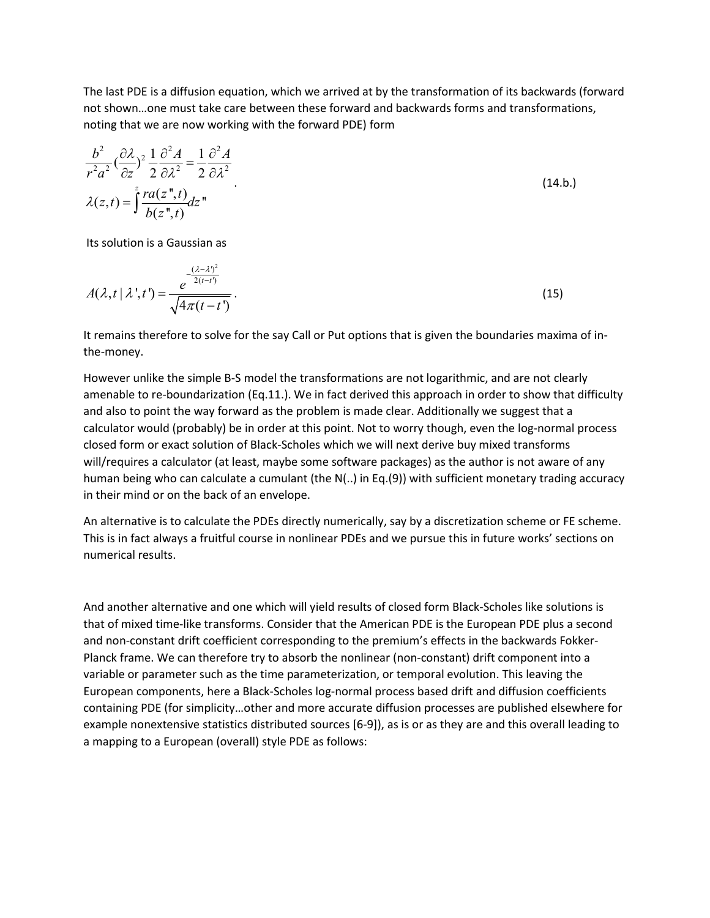The last PDE is a diffusion equation, which we arrived at by the transformation of its backwards (forward not shown…one must take care between these forward and backwards forms and transformations, noting that we are now working with the forward PDE) form

$$
\frac{b^2}{r^2 a^2} \left(\frac{\partial \lambda}{\partial z}\right)^2 \frac{1}{2} \frac{\partial^2 A}{\partial \lambda^2} = \frac{1}{2} \frac{\partial^2 A}{\partial \lambda^2}
$$
\n
$$
\lambda(z,t) = \int_0^z \frac{ra(z",t)}{b(z",t)} dz''
$$
\n(14.b.)

Its solution is a Gaussian as

$$
A(\lambda, t \mid \lambda', t') = \frac{e^{-\frac{(\lambda - \lambda')^{2}}{2(t - t')}}}{\sqrt{4\pi(t - t')}}.
$$
\n(15)

It remains therefore to solve for the say Call or Put options that is given the boundaries maxima of inthe-money.

However unlike the simple B-S model the transformations are not logarithmic, and are not clearly amenable to re-boundarization (Eq.11.). We in fact derived this approach in order to show that difficulty and also to point the way forward as the problem is made clear. Additionally we suggest that a calculator would (probably) be in order at this point. Not to worry though, even the log-normal process closed form or exact solution of Black-Scholes which we will next derive buy mixed transforms will/requires a calculator (at least, maybe some software packages) as the author is not aware of any human being who can calculate a cumulant (the N(..) in Eq.(9)) with sufficient monetary trading accuracy in their mind or on the back of an envelope.

An alternative is to calculate the PDEs directly numerically, say by a discretization scheme or FE scheme. This is in fact always a fruitful course in nonlinear PDEs and we pursue this in future works' sections on numerical results.

And another alternative and one which will yield results of closed form Black-Scholes like solutions is that of mixed time-like transforms. Consider that the American PDE is the European PDE plus a second and non-constant drift coefficient corresponding to the premium's effects in the backwards Fokker-Planck frame. We can therefore try to absorb the nonlinear (non-constant) drift component into a variable or parameter such as the time parameterization, or temporal evolution. This leaving the European components, here a Black-Scholes log-normal process based drift and diffusion coefficients containing PDE (for simplicity…other and more accurate diffusion processes are published elsewhere for example nonextensive statistics distributed sources [6-9]), as is or as they are and this overall leading to a mapping to a European (overall) style PDE as follows: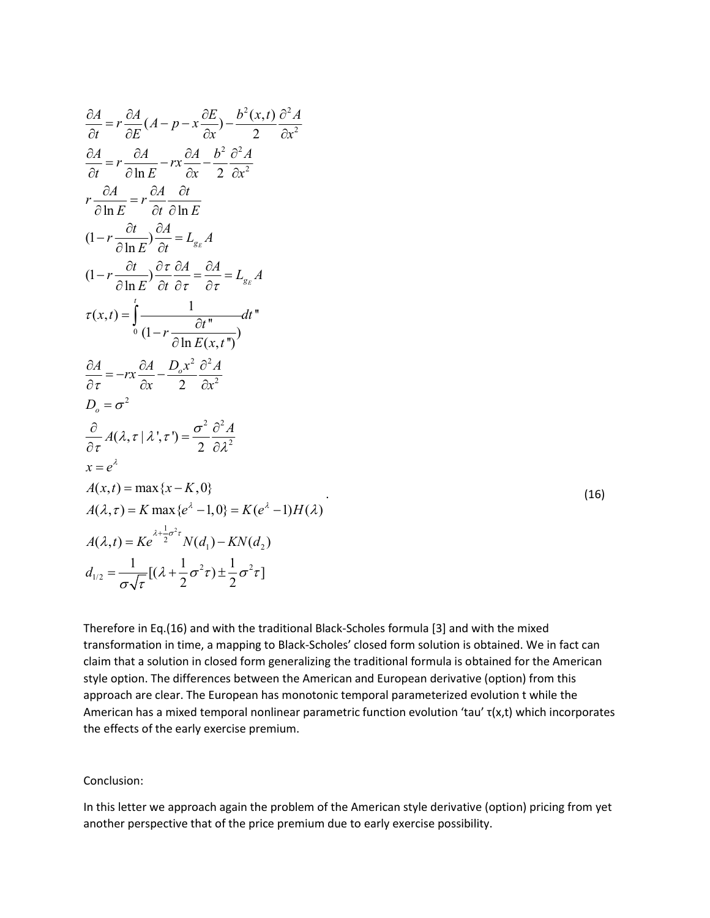$$
\frac{\partial A}{\partial t} = r \frac{\partial A}{\partial E} (A - p - x \frac{\partial E}{\partial x}) - \frac{b^2(x,t)}{2} \frac{\partial^2 A}{\partial x^2}
$$
\n
$$
\frac{\partial A}{\partial t} = r \frac{\partial A}{\partial \ln E} - rx \frac{\partial A}{\partial x} - \frac{b^2}{2} \frac{\partial^2 A}{\partial x^2}
$$
\n
$$
r \frac{\partial A}{\partial \ln E} = r \frac{\partial A}{\partial t} \frac{\partial t}{\partial \ln E}
$$
\n
$$
(1 - r \frac{\partial t}{\partial \ln E}) \frac{\partial A}{\partial t} = L_{g_E} A
$$
\n
$$
(1 - r \frac{\partial t}{\partial \ln E}) \frac{\partial \tau}{\partial t} \frac{\partial A}{\partial \tau} = \frac{\partial A}{\partial \tau} = L_{g_E} A
$$
\n
$$
\tau(x,t) = \int_0^t \frac{1}{(1 - r \frac{\partial t}{\partial \ln E(x,t^{\prime\prime})})} dt^{\prime\prime}
$$
\n
$$
\frac{\partial A}{\partial \tau} = -rx \frac{\partial A}{\partial x} - \frac{D_o x^2}{2} \frac{\partial^2 A}{\partial x^2}
$$
\n
$$
D_o = \sigma^2
$$
\n
$$
\frac{\partial}{\partial \tau} A(\lambda, \tau | \lambda', \tau') = \frac{\sigma^2}{2} \frac{\partial^2 A}{\partial \lambda^2}
$$
\n
$$
x = e^{\lambda}
$$
\n
$$
A(x,t) = \max\{x - K, 0\}
$$
\n
$$
A(\lambda, \tau) = K \max\{e^{\lambda} - 1, 0\} = K(e^{\lambda} - 1)H(\lambda)
$$
\n
$$
A(\lambda, t) = Ke^{\lambda + \frac{1}{2}\sigma^2 t} N(d_1) - KN(d_2)
$$
\n
$$
d_{1/2} = \frac{1}{\sigma \sqrt{\tau}} [(\lambda + \frac{1}{2}\sigma^2 \tau) \pm \frac{1}{2}\sigma^2 \tau]
$$

.  $(16)$ 

Therefore in Eq.(16) and with the traditional Black-Scholes formula [3] and with the mixed transformation in time, a mapping to Black-Scholes' closed form solution is obtained. We in fact can claim that a solution in closed form generalizing the traditional formula is obtained for the American style option. The differences between the American and European derivative (option) from this approach are clear. The European has monotonic temporal parameterized evolution t while the American has a mixed temporal nonlinear parametric function evolution 'tau' τ(x,t) which incorporates the effects of the early exercise premium.

## Conclusion:

In this letter we approach again the problem of the American style derivative (option) pricing from yet another perspective that of the price premium due to early exercise possibility.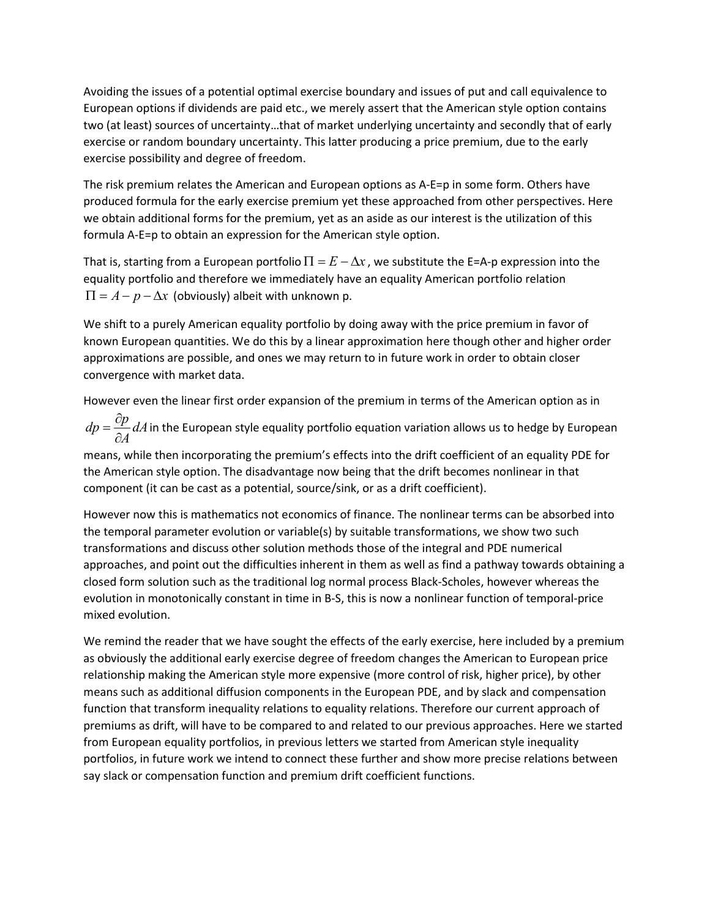Avoiding the issues of a potential optimal exercise boundary and issues of put and call equivalence to European options if dividends are paid etc., we merely assert that the American style option contains two (at least) sources of uncertainty…that of market underlying uncertainty and secondly that of early exercise or random boundary uncertainty. This latter producing a price premium, due to the early exercise possibility and degree of freedom.

The risk premium relates the American and European options as A-E=p in some form. Others have produced formula for the early exercise premium yet these approached from other perspectives. Here we obtain additional forms for the premium, yet as an aside as our interest is the utilization of this formula A-E=p to obtain an expression for the American style option.

That is, starting from a European portfolio  $\Pi = E - \Delta x$ , we substitute the E=A-p expression into the equality portfolio and therefore we immediately have an equality American portfolio relation  $\Pi = A - p - \Delta x$  (obviously) albeit with unknown p.

We shift to a purely American equality portfolio by doing away with the price premium in favor of known European quantities. We do this by a linear approximation here though other and higher order approximations are possible, and ones we may return to in future work in order to obtain closer convergence with market data.

However even the linear first order expansion of the premium in terms of the American option as in

 $dp = \frac{\partial p}{\partial t} dA$ A  $=\frac{\partial p}{\partial x}$  $\partial$ in the European style equality portfolio equation variation allows us to hedge by European

means, while then incorporating the premium's effects into the drift coefficient of an equality PDE for the American style option. The disadvantage now being that the drift becomes nonlinear in that component (it can be cast as a potential, source/sink, or as a drift coefficient).

However now this is mathematics not economics of finance. The nonlinear terms can be absorbed into the temporal parameter evolution or variable(s) by suitable transformations, we show two such transformations and discuss other solution methods those of the integral and PDE numerical approaches, and point out the difficulties inherent in them as well as find a pathway towards obtaining a closed form solution such as the traditional log normal process Black-Scholes, however whereas the evolution in monotonically constant in time in B-S, this is now a nonlinear function of temporal-price mixed evolution.

We remind the reader that we have sought the effects of the early exercise, here included by a premium as obviously the additional early exercise degree of freedom changes the American to European price relationship making the American style more expensive (more control of risk, higher price), by other means such as additional diffusion components in the European PDE, and by slack and compensation function that transform inequality relations to equality relations. Therefore our current approach of premiums as drift, will have to be compared to and related to our previous approaches. Here we started from European equality portfolios, in previous letters we started from American style inequality portfolios, in future work we intend to connect these further and show more precise relations between say slack or compensation function and premium drift coefficient functions.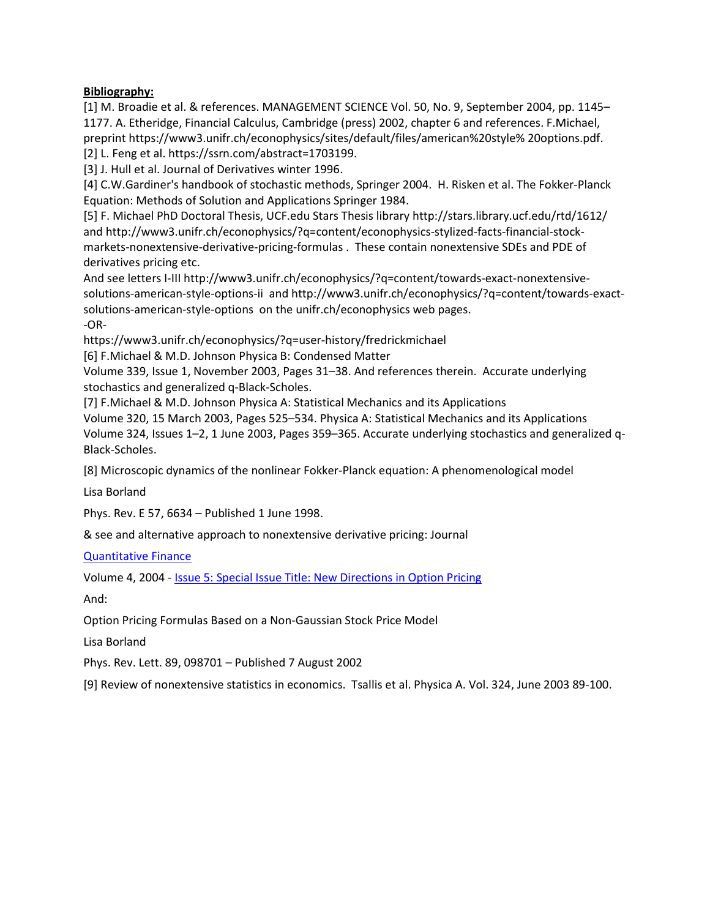## Bibliography:

[1] M. Broadie et al. & references. MANAGEMENT SCIENCE Vol. 50, No. 9, September 2004, pp. 1145– 1177. A. Etheridge, Financial Calculus, Cambridge (press) 2002, chapter 6 and references. F.Michael, preprint https://www3.unifr.ch/econophysics/sites/default/files/american%20style% 20options.pdf. [2] L. Feng et al. https://ssrn.com/abstract=1703199.

[3] J. Hull et al. Journal of Derivatives winter 1996.

[4] C.W.Gardiner's handbook of stochastic methods, Springer 2004. H. Risken et al. The Fokker-Planck Equation: Methods of Solution and Applications Springer 1984.

[5] F. Michael PhD Doctoral Thesis, UCF.edu Stars Thesis library http://stars.library.ucf.edu/rtd/1612/ and http://www3.unifr.ch/econophysics/?q=content/econophysics-stylized-facts-financial-stockmarkets-nonextensive-derivative-pricing-formulas . These contain nonextensive SDEs and PDE of derivatives pricing etc.

And see letters I-III http://www3.unifr.ch/econophysics/?q=content/towards-exact-nonextensivesolutions-american-style-options-ii and http://www3.unifr.ch/econophysics/?q=content/towards-exactsolutions-american-style-options on the unifr.ch/econophysics web pages. -OR-

https://www3.unifr.ch/econophysics/?q=user-history/fredrickmichael

[6] F.Michael & M.D. Johnson Physica B: Condensed Matter

Volume 339, Issue 1, November 2003, Pages 31–38. And references therein. Accurate underlying stochastics and generalized q-Black-Scholes.

[7] F.Michael & M.D. Johnson Physica A: Statistical Mechanics and its Applications

Volume 320, 15 March 2003, Pages 525–534. Physica A: Statistical Mechanics and its Applications Volume 324, Issues 1–2, 1 June 2003, Pages 359–365. Accurate underlying stochastics and generalized q-Black-Scholes.

[8] Microscopic dynamics of the nonlinear Fokker-Planck equation: A phenomenological model

Lisa Borland

Phys. Rev. E 57, 6634 – Published 1 June 1998.

& see and alternative approach to nonextensive derivative pricing: Journal

Quantitative Finance

Volume 4, 2004 - Issue 5: Special Issue Title: New Directions in Option Pricing

And:

Option Pricing Formulas Based on a Non-Gaussian Stock Price Model

Lisa Borland

Phys. Rev. Lett. 89, 098701 – Published 7 August 2002

[9] Review of nonextensive statistics in economics. Tsallis et al. Physica A. Vol. 324, June 2003 89-100.